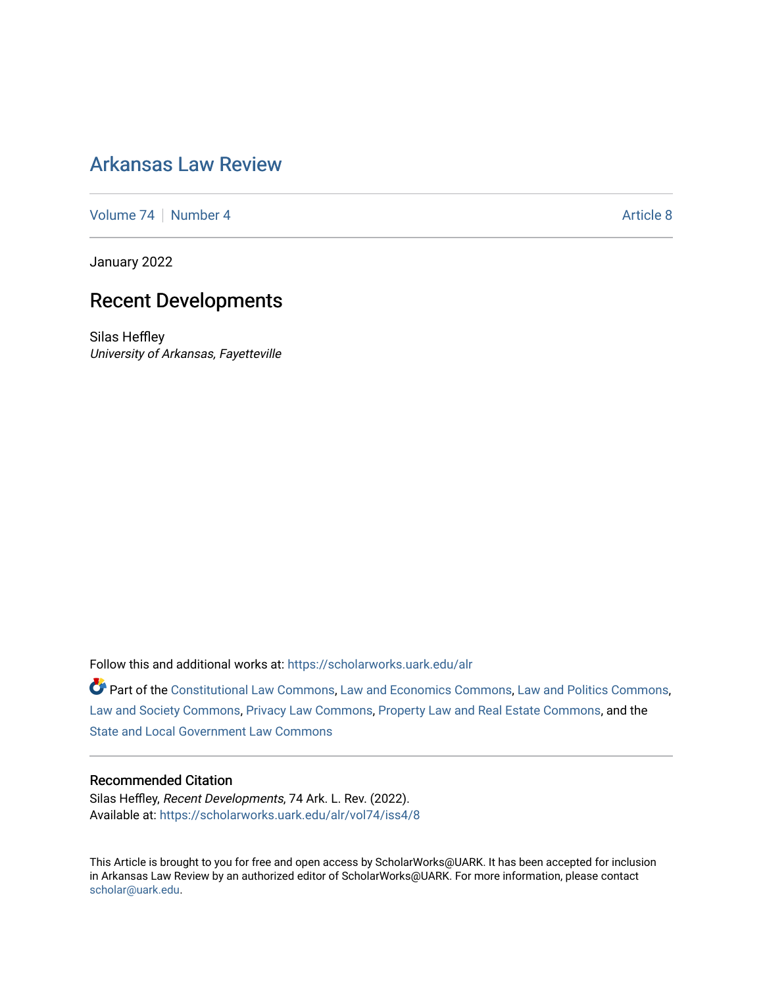# [Arkansas Law Review](https://scholarworks.uark.edu/alr)

[Volume 74](https://scholarworks.uark.edu/alr/vol74) | [Number 4](https://scholarworks.uark.edu/alr/vol74/iss4) Article 8

January 2022

# Recent Developments

Silas Heffley University of Arkansas, Fayetteville

Follow this and additional works at: [https://scholarworks.uark.edu/alr](https://scholarworks.uark.edu/alr?utm_source=scholarworks.uark.edu%2Falr%2Fvol74%2Fiss4%2F8&utm_medium=PDF&utm_campaign=PDFCoverPages) 

Part of the [Constitutional Law Commons,](http://network.bepress.com/hgg/discipline/589?utm_source=scholarworks.uark.edu%2Falr%2Fvol74%2Fiss4%2F8&utm_medium=PDF&utm_campaign=PDFCoverPages) [Law and Economics Commons](http://network.bepress.com/hgg/discipline/612?utm_source=scholarworks.uark.edu%2Falr%2Fvol74%2Fiss4%2F8&utm_medium=PDF&utm_campaign=PDFCoverPages), [Law and Politics Commons,](http://network.bepress.com/hgg/discipline/867?utm_source=scholarworks.uark.edu%2Falr%2Fvol74%2Fiss4%2F8&utm_medium=PDF&utm_campaign=PDFCoverPages) [Law and Society Commons](http://network.bepress.com/hgg/discipline/853?utm_source=scholarworks.uark.edu%2Falr%2Fvol74%2Fiss4%2F8&utm_medium=PDF&utm_campaign=PDFCoverPages), [Privacy Law Commons](http://network.bepress.com/hgg/discipline/1234?utm_source=scholarworks.uark.edu%2Falr%2Fvol74%2Fiss4%2F8&utm_medium=PDF&utm_campaign=PDFCoverPages), [Property Law and Real Estate Commons](http://network.bepress.com/hgg/discipline/897?utm_source=scholarworks.uark.edu%2Falr%2Fvol74%2Fiss4%2F8&utm_medium=PDF&utm_campaign=PDFCoverPages), and the [State and Local Government Law Commons](http://network.bepress.com/hgg/discipline/879?utm_source=scholarworks.uark.edu%2Falr%2Fvol74%2Fiss4%2F8&utm_medium=PDF&utm_campaign=PDFCoverPages) 

## Recommended Citation

Silas Heffley, Recent Developments, 74 Ark. L. Rev. (2022). Available at: [https://scholarworks.uark.edu/alr/vol74/iss4/8](https://scholarworks.uark.edu/alr/vol74/iss4/8?utm_source=scholarworks.uark.edu%2Falr%2Fvol74%2Fiss4%2F8&utm_medium=PDF&utm_campaign=PDFCoverPages)

This Article is brought to you for free and open access by ScholarWorks@UARK. It has been accepted for inclusion in Arkansas Law Review by an authorized editor of ScholarWorks@UARK. For more information, please contact [scholar@uark.edu](mailto:scholar@uark.edu).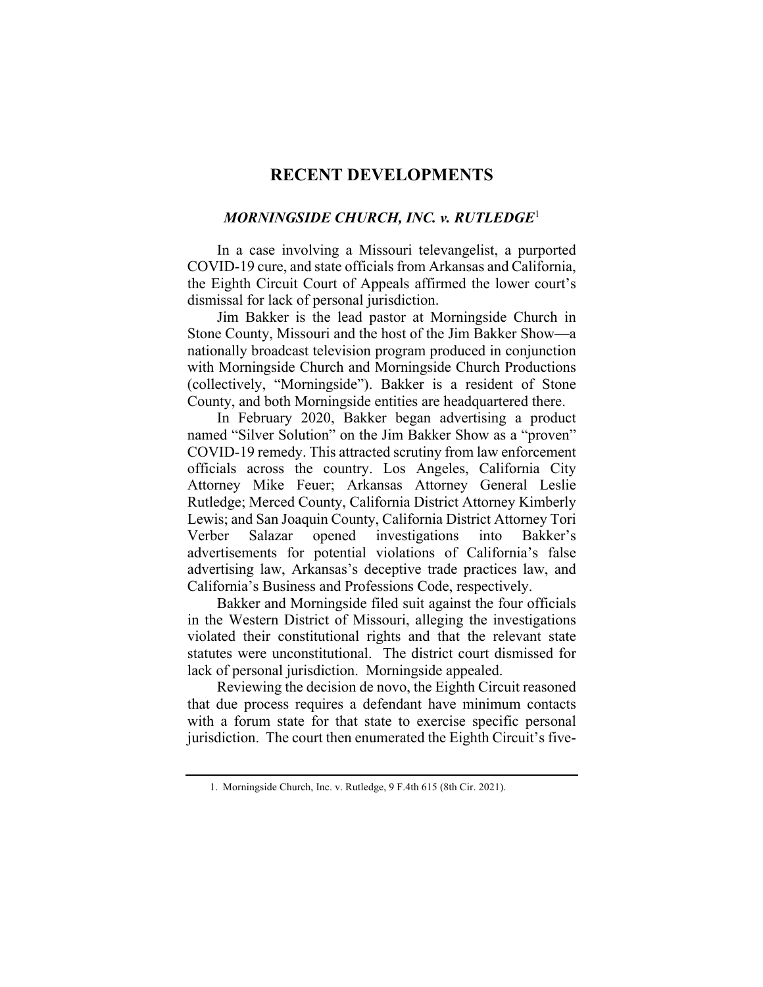# **RECENT DEVELOPMENTS**

#### *MORNINGSIDE CHURCH, INC. v. RUTLEDGE*<sup>1</sup>

In a case involving a Missouri televangelist, a purported COVID-19 cure, and state officials from Arkansas and California, the Eighth Circuit Court of Appeals affirmed the lower court's dismissal for lack of personal jurisdiction.

Jim Bakker is the lead pastor at Morningside Church in Stone County, Missouri and the host of the Jim Bakker Show—a nationally broadcast television program produced in conjunction with Morningside Church and Morningside Church Productions (collectively, "Morningside"). Bakker is a resident of Stone County, and both Morningside entities are headquartered there.

In February 2020, Bakker began advertising a product named "Silver Solution" on the Jim Bakker Show as a "proven" COVID-19 remedy. This attracted scrutiny from law enforcement officials across the country. Los Angeles, California City Attorney Mike Feuer; Arkansas Attorney General Leslie Rutledge; Merced County, California District Attorney Kimberly Lewis; and San Joaquin County, California District Attorney Tori Verber Salazar opened investigations into Bakker's advertisements for potential violations of California's false advertising law, Arkansas's deceptive trade practices law, and California's Business and Professions Code, respectively.

Bakker and Morningside filed suit against the four officials in the Western District of Missouri, alleging the investigations violated their constitutional rights and that the relevant state statutes were unconstitutional. The district court dismissed for lack of personal jurisdiction. Morningside appealed.

Reviewing the decision de novo, the Eighth Circuit reasoned that due process requires a defendant have minimum contacts with a forum state for that state to exercise specific personal jurisdiction. The court then enumerated the Eighth Circuit's five-

<sup>1.</sup> Morningside Church, Inc. v. Rutledge, 9 F.4th 615 (8th Cir. 2021).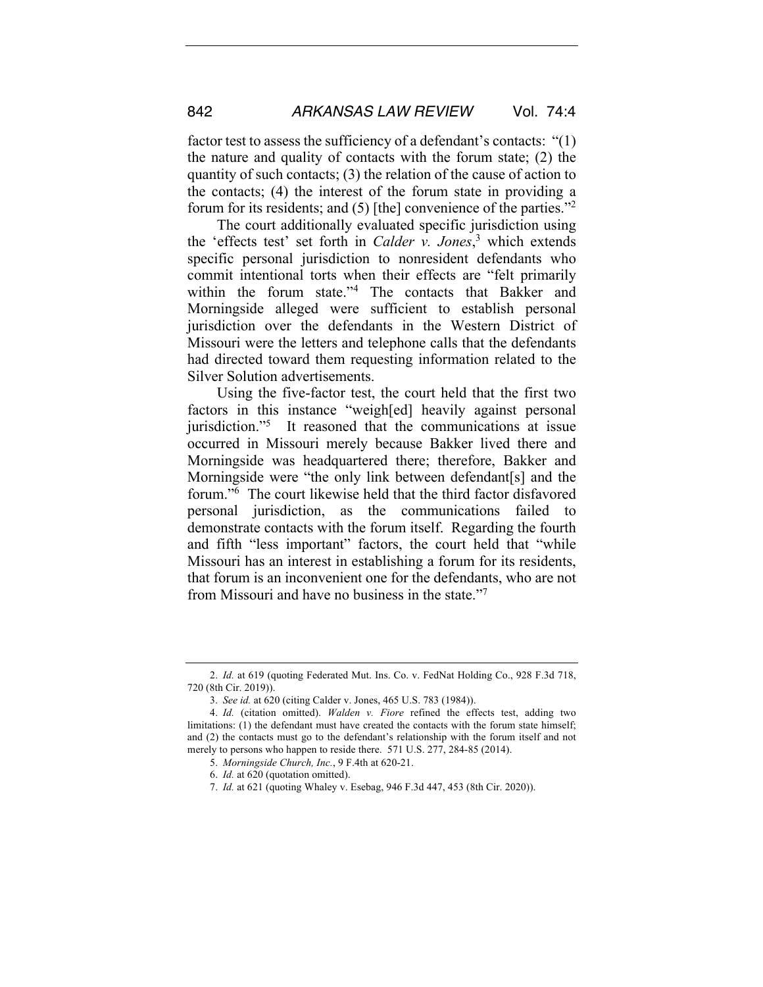factor test to assess the sufficiency of a defendant's contacts: "(1) the nature and quality of contacts with the forum state; (2) the quantity of such contacts; (3) the relation of the cause of action to the contacts; (4) the interest of the forum state in providing a forum for its residents; and (5) [the] convenience of the parties."2

The court additionally evaluated specific jurisdiction using the 'effects test' set forth in *Calder v. Jones*, <sup>3</sup> which extends specific personal jurisdiction to nonresident defendants who commit intentional torts when their effects are "felt primarily within the forum state."4 The contacts that Bakker and Morningside alleged were sufficient to establish personal jurisdiction over the defendants in the Western District of Missouri were the letters and telephone calls that the defendants had directed toward them requesting information related to the Silver Solution advertisements.

Using the five-factor test, the court held that the first two factors in this instance "weigh[ed] heavily against personal jurisdiction."<sup>5</sup> It reasoned that the communications at issue occurred in Missouri merely because Bakker lived there and Morningside was headquartered there; therefore, Bakker and Morningside were "the only link between defendant[s] and the forum."6 The court likewise held that the third factor disfavored personal jurisdiction, as the communications failed to demonstrate contacts with the forum itself. Regarding the fourth and fifth "less important" factors, the court held that "while Missouri has an interest in establishing a forum for its residents, that forum is an inconvenient one for the defendants, who are not from Missouri and have no business in the state."7

<sup>2.</sup> *Id.* at 619 (quoting Federated Mut. Ins. Co. v. FedNat Holding Co., 928 F.3d 718, 720 (8th Cir. 2019)).

<sup>3.</sup> *See id.* at 620 (citing Calder v. Jones, 465 U.S. 783 (1984)).

<sup>4.</sup> *Id.* (citation omitted). *Walden v. Fiore* refined the effects test, adding two limitations: (1) the defendant must have created the contacts with the forum state himself; and (2) the contacts must go to the defendant's relationship with the forum itself and not merely to persons who happen to reside there. 571 U.S. 277, 284-85 (2014).

<sup>5.</sup> *Morningside Church, Inc.*, 9 F.4th at 620-21.

<sup>6.</sup> *Id.* at 620 (quotation omitted).

<sup>7.</sup> *Id.* at 621 (quoting Whaley v. Esebag, 946 F.3d 447, 453 (8th Cir. 2020)).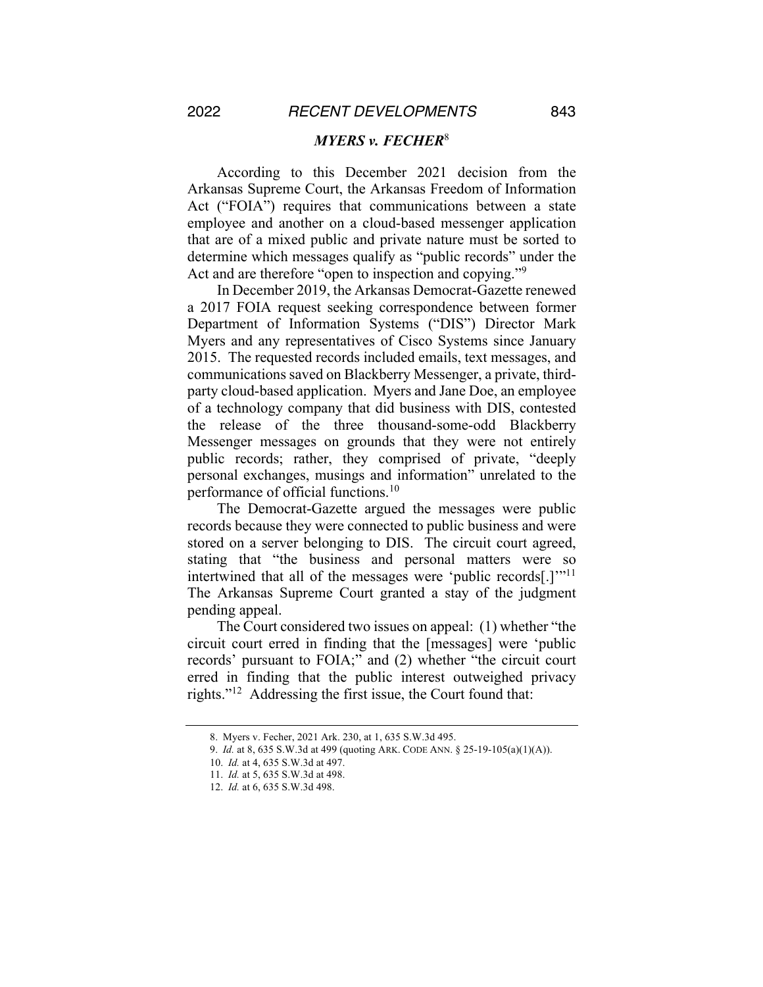### *MYERS v. FECHER*<sup>8</sup>

According to this December 2021 decision from the Arkansas Supreme Court, the Arkansas Freedom of Information Act ("FOIA") requires that communications between a state employee and another on a cloud-based messenger application that are of a mixed public and private nature must be sorted to determine which messages qualify as "public records" under the Act and are therefore "open to inspection and copying."<sup>9</sup>

In December 2019, the Arkansas Democrat-Gazette renewed a 2017 FOIA request seeking correspondence between former Department of Information Systems ("DIS") Director Mark Myers and any representatives of Cisco Systems since January 2015. The requested records included emails, text messages, and communications saved on Blackberry Messenger, a private, thirdparty cloud-based application. Myers and Jane Doe, an employee of a technology company that did business with DIS, contested the release of the three thousand-some-odd Blackberry Messenger messages on grounds that they were not entirely public records; rather, they comprised of private, "deeply personal exchanges, musings and information" unrelated to the performance of official functions. 10

The Democrat-Gazette argued the messages were public records because they were connected to public business and were stored on a server belonging to DIS. The circuit court agreed, stating that "the business and personal matters were so intertwined that all of the messages were 'public records[.]'"11 The Arkansas Supreme Court granted a stay of the judgment pending appeal.

The Court considered two issues on appeal: (1) whether "the circuit court erred in finding that the [messages] were 'public records' pursuant to FOIA;" and (2) whether "the circuit court erred in finding that the public interest outweighed privacy rights."12 Addressing the first issue, the Court found that:

<sup>8.</sup> Myers v. Fecher, 2021 Ark. 230, at 1, 635 S.W.3d 495.

<sup>9.</sup> *Id.* at 8, 635 S.W.3d at 499 (quoting ARK. CODE ANN. § 25-19-105(a)(1)(A)).

<sup>10.</sup> *Id.* at 4, 635 S.W.3d at 497.

<sup>11.</sup> *Id.* at 5, 635 S.W.3d at 498.

<sup>12.</sup> *Id.* at 6, 635 S.W.3d 498.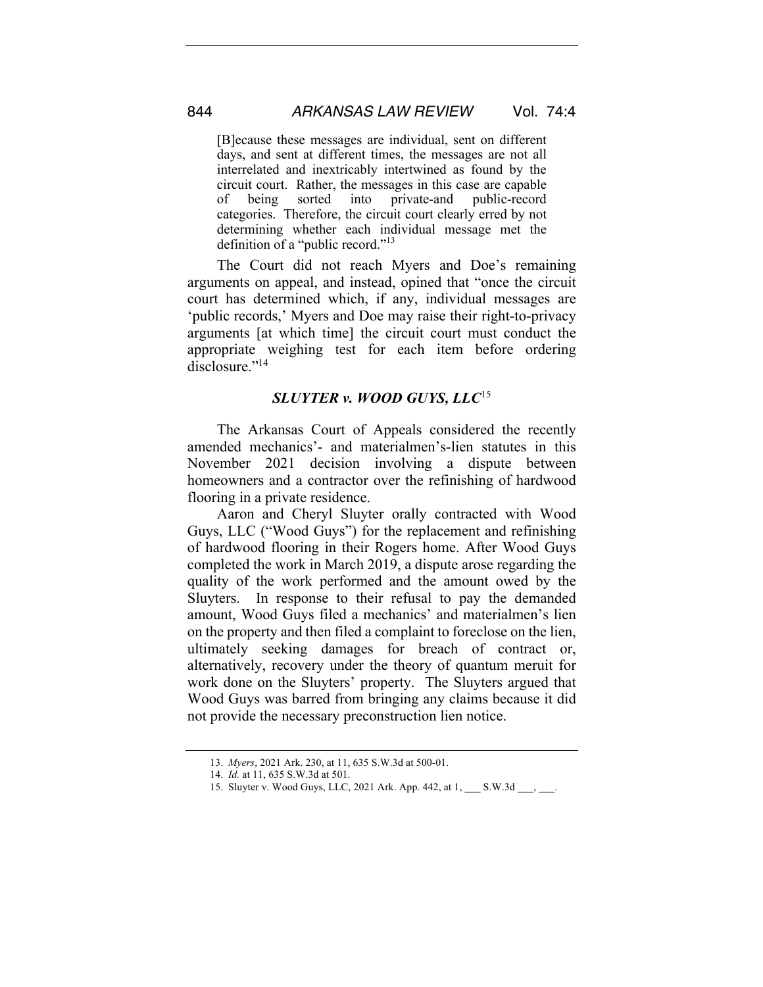[B]ecause these messages are individual, sent on different days, and sent at different times, the messages are not all interrelated and inextricably intertwined as found by the circuit court. Rather, the messages in this case are capable of being sorted into private-and public-record categories. Therefore, the circuit court clearly erred by not determining whether each individual message met the definition of a "public record."<sup>13</sup>

The Court did not reach Myers and Doe's remaining arguments on appeal, and instead, opined that "once the circuit court has determined which, if any, individual messages are 'public records,' Myers and Doe may raise their right-to-privacy arguments [at which time] the circuit court must conduct the appropriate weighing test for each item before ordering disclosure."<sup>14</sup>

## *SLUYTER v. WOOD GUYS, LLC*<sup>15</sup>

The Arkansas Court of Appeals considered the recently amended mechanics'- and materialmen's-lien statutes in this November 2021 decision involving a dispute between homeowners and a contractor over the refinishing of hardwood flooring in a private residence.

Aaron and Cheryl Sluyter orally contracted with Wood Guys, LLC ("Wood Guys") for the replacement and refinishing of hardwood flooring in their Rogers home. After Wood Guys completed the work in March 2019, a dispute arose regarding the quality of the work performed and the amount owed by the Sluyters. In response to their refusal to pay the demanded amount, Wood Guys filed a mechanics' and materialmen's lien on the property and then filed a complaint to foreclose on the lien, ultimately seeking damages for breach of contract or, alternatively, recovery under the theory of quantum meruit for work done on the Sluyters' property. The Sluyters argued that Wood Guys was barred from bringing any claims because it did not provide the necessary preconstruction lien notice.

<sup>13.</sup> *Myers*, 2021 Ark. 230, at 11, 635 S.W.3d at 500-01.

<sup>14.</sup> *Id.* at 11, 635 S.W.3d at 501.

<sup>15.</sup> Sluyter v. Wood Guys, LLC, 2021 Ark. App. 442, at 1, \_\_\_ S.W.3d \_\_\_, \_\_\_.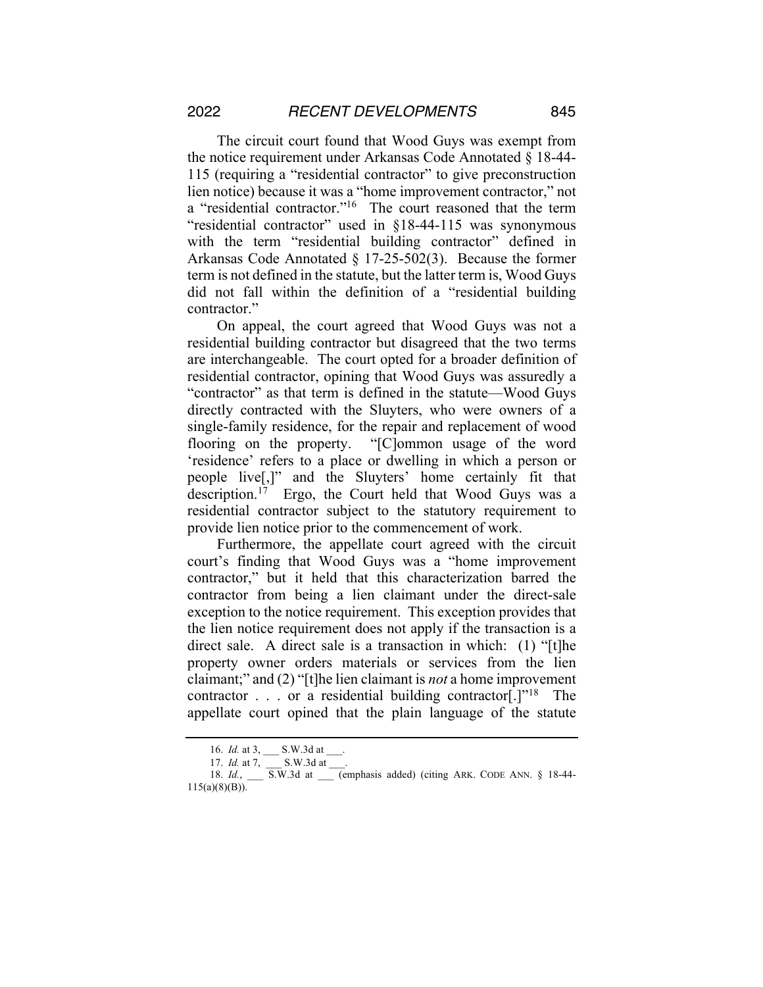The circuit court found that Wood Guys was exempt from the notice requirement under Arkansas Code Annotated § 18-44- 115 (requiring a "residential contractor" to give preconstruction lien notice) because it was a "home improvement contractor," not a "residential contractor."<sup>16</sup> The court reasoned that the term "residential contractor" used in §18-44-115 was synonymous with the term "residential building contractor" defined in Arkansas Code Annotated § 17-25-502(3). Because the former term is not defined in the statute, but the latter term is, Wood Guys did not fall within the definition of a "residential building contractor."

On appeal, the court agreed that Wood Guys was not a residential building contractor but disagreed that the two terms are interchangeable. The court opted for a broader definition of residential contractor, opining that Wood Guys was assuredly a "contractor" as that term is defined in the statute—Wood Guys directly contracted with the Sluyters, who were owners of a single-family residence, for the repair and replacement of wood flooring on the property. "[C]ommon usage of the word 'residence' refers to a place or dwelling in which a person or people live[,]" and the Sluyters' home certainly fit that description.17 Ergo, the Court held that Wood Guys was a residential contractor subject to the statutory requirement to provide lien notice prior to the commencement of work.

Furthermore, the appellate court agreed with the circuit court's finding that Wood Guys was a "home improvement contractor," but it held that this characterization barred the contractor from being a lien claimant under the direct-sale exception to the notice requirement. This exception provides that the lien notice requirement does not apply if the transaction is a direct sale. A direct sale is a transaction in which: (1) "[t]he property owner orders materials or services from the lien claimant;" and (2) "[t]he lien claimant is *not* a home improvement contractor  $\ldots$  or a residential building contractor[.]"<sup>18</sup> The appellate court opined that the plain language of the statute

<sup>16.</sup> *Id.* at 3, \_\_\_ S.W.3d at \_\_\_.

<sup>17.</sup> S.W.3d at 11.

<sup>18.</sup> *Id.*, \_\_\_ S.W.3d at \_\_\_ (emphasis added) (citing ARK. CODE ANN. § 18-44-115(a)(8)(B)).